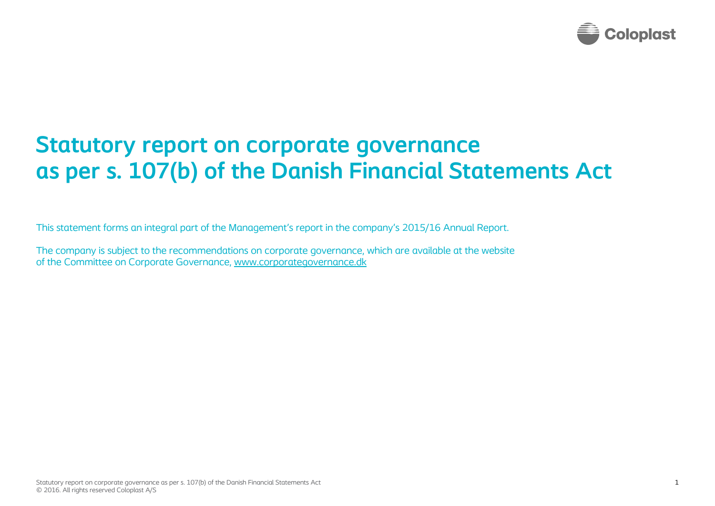

## **Statutory report on corporate governance as per s. 107(b) of the Danish Financial Statements Act**

This statement forms an integral part of the Management's report in the company's 2015/16 Annual Report.

The company is subject to the recommendations on corporate governance, which are available at the website of the Committee on Corporate Governance, [www.corporategovernance.dk](http://www.corporategovernance.dk/)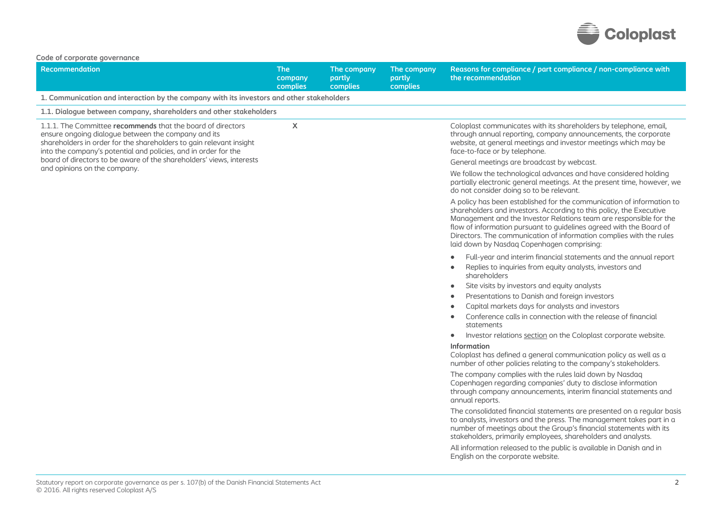

| Code of corporate governance |
|------------------------------|
|------------------------------|

| couc or corporate governance<br><b>Recommendation</b>                                                                                                                                                                                                        | <b>The</b><br>company<br>complies | The company<br>partly<br>complies | The company<br>partly<br>complies | Reasons for compliance / part compliance / non-compliance with<br>the recommendation                                                                                                                                                                                                                                                                                                                           |
|--------------------------------------------------------------------------------------------------------------------------------------------------------------------------------------------------------------------------------------------------------------|-----------------------------------|-----------------------------------|-----------------------------------|----------------------------------------------------------------------------------------------------------------------------------------------------------------------------------------------------------------------------------------------------------------------------------------------------------------------------------------------------------------------------------------------------------------|
| 1. Communication and interaction by the company with its investors and other stakeholders                                                                                                                                                                    |                                   |                                   |                                   |                                                                                                                                                                                                                                                                                                                                                                                                                |
| 1.1. Dialogue between company, shareholders and other stakeholders                                                                                                                                                                                           |                                   |                                   |                                   |                                                                                                                                                                                                                                                                                                                                                                                                                |
| 1.1.1. The Committee recommends that the board of directors<br>ensure ongoing dialogue between the company and its<br>shareholders in order for the shareholders to gain relevant insight<br>into the company's potential and policies, and in order for the | $\mathsf{x}$                      |                                   |                                   | Coloplast communicates with its shareholders by telephone, email,<br>through annual reporting, company announcements, the corporate<br>website, at general meetings and investor meetings which may be<br>face-to-face or by telephone.                                                                                                                                                                        |
| board of directors to be aware of the shareholders' views, interests<br>and opinions on the company.                                                                                                                                                         |                                   |                                   |                                   | General meetings are broadcast by webcast.                                                                                                                                                                                                                                                                                                                                                                     |
|                                                                                                                                                                                                                                                              |                                   |                                   |                                   | We follow the technological advances and have considered holding<br>partially electronic general meetings. At the present time, however, we<br>do not consider doing so to be relevant.                                                                                                                                                                                                                        |
|                                                                                                                                                                                                                                                              |                                   |                                   |                                   | A policy has been established for the communication of information to<br>shareholders and investors. According to this policy, the Executive<br>Management and the Investor Relations team are responsible for the<br>flow of information pursuant to guidelines agreed with the Board of<br>Directors. The communication of information complies with the rules<br>laid down by Nasdaq Copenhagen comprising: |
|                                                                                                                                                                                                                                                              |                                   |                                   |                                   | Full-year and interim financial statements and the annual report<br>Replies to inquiries from equity analysts, investors and<br>shareholders                                                                                                                                                                                                                                                                   |
|                                                                                                                                                                                                                                                              |                                   |                                   |                                   | Site visits by investors and equity analysts<br>٠                                                                                                                                                                                                                                                                                                                                                              |
|                                                                                                                                                                                                                                                              |                                   |                                   |                                   | Presentations to Danish and foreign investors<br>$\bullet$                                                                                                                                                                                                                                                                                                                                                     |
|                                                                                                                                                                                                                                                              |                                   |                                   |                                   | Capital markets days for analysts and investors                                                                                                                                                                                                                                                                                                                                                                |
|                                                                                                                                                                                                                                                              |                                   |                                   |                                   | Conference calls in connection with the release of financial<br>statements                                                                                                                                                                                                                                                                                                                                     |
|                                                                                                                                                                                                                                                              |                                   |                                   |                                   | Investor relations section on the Coloplast corporate website.<br>$\bullet$                                                                                                                                                                                                                                                                                                                                    |
|                                                                                                                                                                                                                                                              |                                   |                                   |                                   | <b>Information</b><br>Coloplast has defined a general communication policy as well as a<br>number of other policies relating to the company's stakeholders.                                                                                                                                                                                                                                                    |
|                                                                                                                                                                                                                                                              |                                   |                                   |                                   | The company complies with the rules laid down by Nasdaq<br>Copenhagen regarding companies' duty to disclose information<br>through company announcements, interim financial statements and<br>annual reports.                                                                                                                                                                                                  |
|                                                                                                                                                                                                                                                              |                                   |                                   |                                   | The consolidated financial statements are presented on a regular basis<br>to analysts, investors and the press. The management takes part in a<br>number of meetings about the Group's financial statements with its<br>stakeholders, primarily employees, shareholders and analysts.                                                                                                                          |
|                                                                                                                                                                                                                                                              |                                   |                                   |                                   | All information released to the public is available in Danish and in<br>English on the corporate website.                                                                                                                                                                                                                                                                                                      |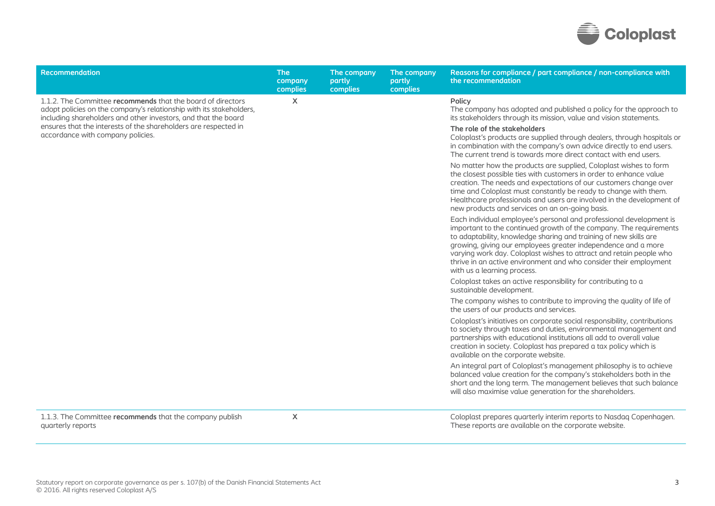

| <b>Recommendation</b>                                                                                                                                                                                | <b>The</b><br>company<br>complies | The company<br>partly<br>complies | The company<br>partly<br>complies | Reasons for compliance / part compliance / non-compliance with<br>the recommendation                                                                                                                                                                                                                                                                                                                                                                       |
|------------------------------------------------------------------------------------------------------------------------------------------------------------------------------------------------------|-----------------------------------|-----------------------------------|-----------------------------------|------------------------------------------------------------------------------------------------------------------------------------------------------------------------------------------------------------------------------------------------------------------------------------------------------------------------------------------------------------------------------------------------------------------------------------------------------------|
| 1.1.2. The Committee recommends that the board of directors<br>adopt policies on the company's relationship with its stakeholders,<br>including shareholders and other investors, and that the board | $\boldsymbol{\mathsf{X}}$         |                                   |                                   | Policy<br>The company has adopted and published a policy for the approach to<br>its stakeholders through its mission, value and vision statements.                                                                                                                                                                                                                                                                                                         |
| ensures that the interests of the shareholders are respected in<br>accordance with company policies.                                                                                                 |                                   |                                   |                                   | The role of the stakeholders<br>Coloplast's products are supplied through dealers, through hospitals or<br>in combination with the company's own advice directly to end users.<br>The current trend is towards more direct contact with end users.                                                                                                                                                                                                         |
|                                                                                                                                                                                                      |                                   |                                   |                                   | No matter how the products are supplied, Coloplast wishes to form<br>the closest possible ties with customers in order to enhance value<br>creation. The needs and expectations of our customers change over<br>time and Coloplast must constantly be ready to change with them.<br>Healthcare professionals and users are involved in the development of<br>new products and services on an on-going basis.                                               |
|                                                                                                                                                                                                      |                                   |                                   |                                   | Each individual employee's personal and professional development is<br>important to the continued growth of the company. The requirements<br>to adaptability, knowledge sharing and training of new skills are<br>growing, giving our employees greater independence and a more<br>varying work day. Coloplast wishes to attract and retain people who<br>thrive in an active environment and who consider their employment<br>with us a learning process. |
|                                                                                                                                                                                                      |                                   |                                   |                                   | Coloplast takes an active responsibility for contributing to a<br>sustainable development.                                                                                                                                                                                                                                                                                                                                                                 |
|                                                                                                                                                                                                      |                                   |                                   |                                   | The company wishes to contribute to improving the quality of life of<br>the users of our products and services.                                                                                                                                                                                                                                                                                                                                            |
|                                                                                                                                                                                                      |                                   |                                   |                                   | Coloplast's initiatives on corporate social responsibility, contributions<br>to society through taxes and duties, environmental management and<br>partnerships with educational institutions all add to overall value<br>creation in society. Coloplast has prepared a tax policy which is<br>available on the corporate website.                                                                                                                          |
|                                                                                                                                                                                                      |                                   |                                   |                                   | An integral part of Coloplast's management philosophy is to achieve<br>balanced value creation for the company's stakeholders both in the<br>short and the long term. The management believes that such balance<br>will also maximise value generation for the shareholders.                                                                                                                                                                               |
| 1.1.3. The Committee recommends that the company publish<br>quarterly reports                                                                                                                        | $\sf X$                           |                                   |                                   | Coloplast prepares quarterly interim reports to Nasdaq Copenhagen.<br>These reports are available on the corporate website.                                                                                                                                                                                                                                                                                                                                |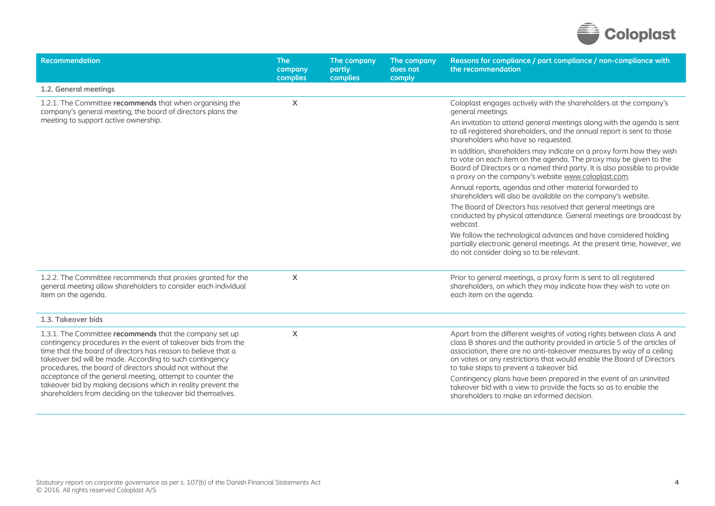

| Recommendation                                                                                                                                                                                                                                                                                                                                                                                                                                                                                                 | <b>The</b><br>company<br>complies | The company<br>partly<br>complies | The company<br>does not<br>comply | Reasons for compliance / part compliance / non-compliance with<br>the recommendation                                                                                                                                                                                                                                                            |
|----------------------------------------------------------------------------------------------------------------------------------------------------------------------------------------------------------------------------------------------------------------------------------------------------------------------------------------------------------------------------------------------------------------------------------------------------------------------------------------------------------------|-----------------------------------|-----------------------------------|-----------------------------------|-------------------------------------------------------------------------------------------------------------------------------------------------------------------------------------------------------------------------------------------------------------------------------------------------------------------------------------------------|
| 1.2. General meetings                                                                                                                                                                                                                                                                                                                                                                                                                                                                                          |                                   |                                   |                                   |                                                                                                                                                                                                                                                                                                                                                 |
| 1.2.1. The Committee recommends that when organising the<br>company's general meeting, the board of directors plans the                                                                                                                                                                                                                                                                                                                                                                                        | X                                 |                                   |                                   | Coloplast engages actively with the shareholders at the company's<br>general meetings.                                                                                                                                                                                                                                                          |
| meeting to support active ownership.                                                                                                                                                                                                                                                                                                                                                                                                                                                                           |                                   |                                   |                                   | An invitation to attend general meetings along with the agenda is sent<br>to all registered shareholders, and the annual report is sent to those<br>shareholders who have so requested.                                                                                                                                                         |
|                                                                                                                                                                                                                                                                                                                                                                                                                                                                                                                |                                   |                                   |                                   | In addition, shareholders may indicate on a proxy form how they wish<br>to vote on each item on the agenda. The proxy may be given to the<br>Board of Directors or a named third party. It is also possible to provide<br>a proxy on the company's website www.coloplast.com.                                                                   |
|                                                                                                                                                                                                                                                                                                                                                                                                                                                                                                                |                                   |                                   |                                   | Annual reports, agendas and other material forwarded to<br>shareholders will also be available on the company's website.                                                                                                                                                                                                                        |
|                                                                                                                                                                                                                                                                                                                                                                                                                                                                                                                |                                   |                                   |                                   | The Board of Directors has resolved that general meetings are<br>conducted by physical attendance. General meetings are broadcast by<br>webcast.                                                                                                                                                                                                |
|                                                                                                                                                                                                                                                                                                                                                                                                                                                                                                                |                                   |                                   |                                   | We follow the technological advances and have considered holding<br>partially electronic general meetings. At the present time, however, we<br>do not consider doing so to be relevant.                                                                                                                                                         |
| 1.2.2. The Committee recommends that proxies granted for the<br>general meeting allow shareholders to consider each individual<br>item on the agenda.                                                                                                                                                                                                                                                                                                                                                          | X                                 |                                   |                                   | Prior to general meetings, a proxy form is sent to all registered<br>shareholders, on which they may indicate how they wish to vote on<br>each item on the agenda.                                                                                                                                                                              |
| 1.3. Takeover bids                                                                                                                                                                                                                                                                                                                                                                                                                                                                                             |                                   |                                   |                                   |                                                                                                                                                                                                                                                                                                                                                 |
| 1.3.1. The Committee recommends that the company set up<br>contingency procedures in the event of takeover bids from the<br>time that the board of directors has reason to believe that a<br>takeover bid will be made. According to such contingency<br>procedures, the board of directors should not without the<br>acceptance of the general meeting, attempt to counter the<br>takeover bid by making decisions which in reality prevent the<br>shareholders from deciding on the takeover bid themselves. | X                                 |                                   |                                   | Apart from the different weights of voting rights between class A and<br>class B shares and the authority provided in article 5 of the articles of<br>association, there are no anti-takeover measures by way of a ceiling<br>on votes or any restrictions that would enable the Board of Directors<br>to take steps to prevent a takeover bid. |
|                                                                                                                                                                                                                                                                                                                                                                                                                                                                                                                |                                   |                                   |                                   | Contingency plans have been prepared in the event of an uninvited<br>takeover bid with a view to provide the facts so as to enable the<br>shareholders to make an informed decision.                                                                                                                                                            |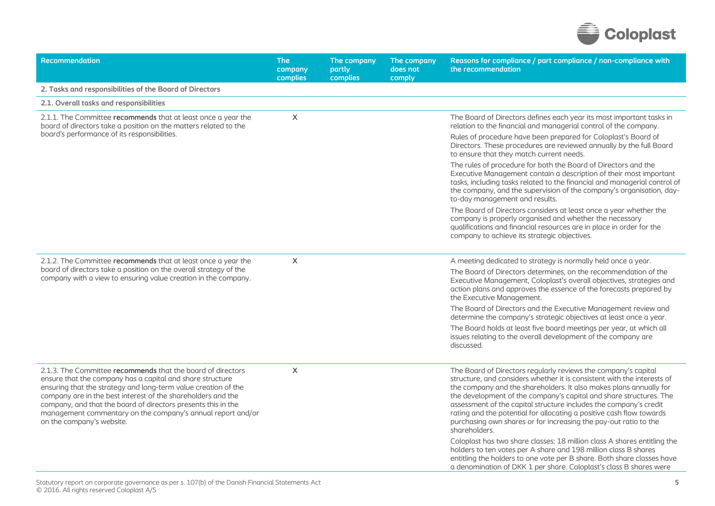

| <b>Recommendation</b>                                                                                                                                                                                                                                                                                                                                                                                                   | <b>The</b><br>company<br>complies | The company<br>partly<br>complies | The company<br>does not<br>comply | Reasons for compliance / part compliance / non-compliance with<br>the recommendation                                                                                                                                                                                                                                                                                                                                                                                                                                                                                                                                                                                                                                                                                                                                   |
|-------------------------------------------------------------------------------------------------------------------------------------------------------------------------------------------------------------------------------------------------------------------------------------------------------------------------------------------------------------------------------------------------------------------------|-----------------------------------|-----------------------------------|-----------------------------------|------------------------------------------------------------------------------------------------------------------------------------------------------------------------------------------------------------------------------------------------------------------------------------------------------------------------------------------------------------------------------------------------------------------------------------------------------------------------------------------------------------------------------------------------------------------------------------------------------------------------------------------------------------------------------------------------------------------------------------------------------------------------------------------------------------------------|
| 2. Tasks and responsibilities of the Board of Directors                                                                                                                                                                                                                                                                                                                                                                 |                                   |                                   |                                   |                                                                                                                                                                                                                                                                                                                                                                                                                                                                                                                                                                                                                                                                                                                                                                                                                        |
| 2.1. Overall tasks and responsibilities                                                                                                                                                                                                                                                                                                                                                                                 |                                   |                                   |                                   |                                                                                                                                                                                                                                                                                                                                                                                                                                                                                                                                                                                                                                                                                                                                                                                                                        |
| 2.1.1. The Committee recommends that at least once a year the<br>board of directors take a position on the matters related to the                                                                                                                                                                                                                                                                                       | X                                 |                                   |                                   | The Board of Directors defines each year its most important tasks in<br>relation to the financial and managerial control of the company.                                                                                                                                                                                                                                                                                                                                                                                                                                                                                                                                                                                                                                                                               |
| board's performance of its responsibilities.                                                                                                                                                                                                                                                                                                                                                                            |                                   |                                   |                                   | Rules of procedure have been prepared for Coloplast's Board of<br>Directors. These procedures are reviewed annually by the full Board<br>to ensure that they match current needs.                                                                                                                                                                                                                                                                                                                                                                                                                                                                                                                                                                                                                                      |
|                                                                                                                                                                                                                                                                                                                                                                                                                         |                                   |                                   |                                   | The rules of procedure for both the Board of Directors and the<br>Executive Management contain a description of their most important<br>tasks, including tasks related to the financial and managerial control of<br>the company, and the supervision of the company's organisation, day-<br>to-day management and results.                                                                                                                                                                                                                                                                                                                                                                                                                                                                                            |
|                                                                                                                                                                                                                                                                                                                                                                                                                         |                                   |                                   |                                   | The Board of Directors considers at least once a year whether the<br>company is properly organised and whether the necessary<br>qualifications and financial resources are in place in order for the<br>company to achieve its strategic objectives.                                                                                                                                                                                                                                                                                                                                                                                                                                                                                                                                                                   |
| 2.1.2. The Committee recommends that at least once a year the<br>board of directors take a position on the overall strategy of the<br>company with a view to ensuring value creation in the company.                                                                                                                                                                                                                    | X                                 |                                   |                                   | A meeting dedicated to strategy is normally held once a year.                                                                                                                                                                                                                                                                                                                                                                                                                                                                                                                                                                                                                                                                                                                                                          |
|                                                                                                                                                                                                                                                                                                                                                                                                                         |                                   |                                   |                                   | The Board of Directors determines, on the recommendation of the<br>Executive Management, Coloplast's overall objectives, strategies and<br>action plans and approves the essence of the forecasts prepared by<br>the Executive Management.                                                                                                                                                                                                                                                                                                                                                                                                                                                                                                                                                                             |
|                                                                                                                                                                                                                                                                                                                                                                                                                         |                                   |                                   |                                   | The Board of Directors and the Executive Management review and<br>determine the company's strategic objectives at least once a year.                                                                                                                                                                                                                                                                                                                                                                                                                                                                                                                                                                                                                                                                                   |
|                                                                                                                                                                                                                                                                                                                                                                                                                         |                                   |                                   |                                   | The Board holds at least five board meetings per year, at which all<br>issues relating to the overall development of the company are<br>discussed.                                                                                                                                                                                                                                                                                                                                                                                                                                                                                                                                                                                                                                                                     |
| 2.1.3. The Committee recommends that the board of directors<br>ensure that the company has a capital and share structure<br>ensuring that the strategy and long-term value creation of the<br>company are in the best interest of the shareholders and the<br>company, and that the board of directors presents this in the<br>management commentary on the company's annual report and/or<br>on the company's website. | X                                 |                                   |                                   | The Board of Directors regularly reviews the company's capital<br>structure, and considers whether it is consistent with the interests of<br>the company and the shareholders. It also makes plans annually for<br>the development of the company's capital and share structures. The<br>assessment of the capital structure includes the company's credit<br>rating and the potential for allocating a positive cash flow towards<br>purchasing own shares or for increasing the pay-out ratio to the<br>shareholders.<br>Coloplast has two share classes: 18 million class A shares entitling the<br>holders to ten votes per A share and 198 million class B shares<br>entitling the holders to one vote per B share. Both share classes have<br>a denomination of DKK 1 per share. Coloplast's class B shares were |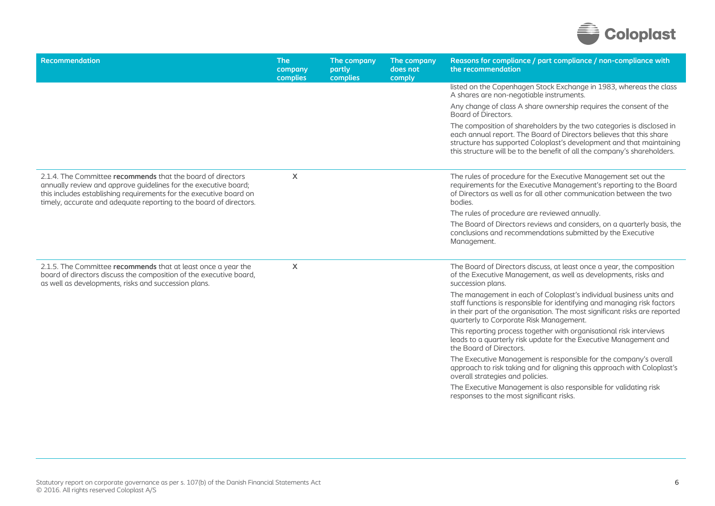

| Recommendation                                                                                                                                                                                                                                                             | <b>The</b><br>company<br>complies | The company<br>partly<br>complies | The company<br>does not<br>comply | Reasons for compliance / part compliance / non-compliance with<br>the recommendation                                                                                                                                                                                                             |
|----------------------------------------------------------------------------------------------------------------------------------------------------------------------------------------------------------------------------------------------------------------------------|-----------------------------------|-----------------------------------|-----------------------------------|--------------------------------------------------------------------------------------------------------------------------------------------------------------------------------------------------------------------------------------------------------------------------------------------------|
|                                                                                                                                                                                                                                                                            |                                   |                                   |                                   | listed on the Copenhagen Stock Exchange in 1983, whereas the class<br>A shares are non-negotiable instruments.                                                                                                                                                                                   |
|                                                                                                                                                                                                                                                                            |                                   |                                   |                                   | Any change of class A share ownership requires the consent of the<br>Board of Directors.                                                                                                                                                                                                         |
|                                                                                                                                                                                                                                                                            |                                   |                                   |                                   | The composition of shareholders by the two categories is disclosed in<br>each annual report. The Board of Directors believes that this share<br>structure has supported Coloplast's development and that maintaining<br>this structure will be to the benefit of all the company's shareholders. |
| 2.1.4. The Committee recommends that the board of directors<br>annually review and approve guidelines for the executive board;<br>this includes establishing requirements for the executive board on<br>timely, accurate and adequate reporting to the board of directors. | X                                 |                                   |                                   | The rules of procedure for the Executive Management set out the<br>requirements for the Executive Management's reporting to the Board<br>of Directors as well as for all other communication between the two<br>bodies.                                                                          |
|                                                                                                                                                                                                                                                                            |                                   |                                   |                                   | The rules of procedure are reviewed annually.                                                                                                                                                                                                                                                    |
|                                                                                                                                                                                                                                                                            |                                   |                                   |                                   | The Board of Directors reviews and considers, on a quarterly basis, the<br>conclusions and recommendations submitted by the Executive<br>Management.                                                                                                                                             |
| 2.1.5. The Committee recommends that at least once a year the<br>board of directors discuss the composition of the executive board,<br>as well as developments, risks and succession plans.                                                                                | $\boldsymbol{\mathsf{X}}$         |                                   |                                   | The Board of Directors discuss, at least once a year, the composition<br>of the Executive Management, as well as developments, risks and<br>succession plans.                                                                                                                                    |
|                                                                                                                                                                                                                                                                            |                                   |                                   |                                   | The management in each of Coloplast's individual business units and<br>staff functions is responsible for identifying and managing risk factors<br>in their part of the organisation. The most significant risks are reported<br>quarterly to Corporate Risk Management.                         |
|                                                                                                                                                                                                                                                                            |                                   |                                   |                                   | This reporting process together with organisational risk interviews<br>leads to a quarterly risk update for the Executive Management and<br>the Board of Directors.                                                                                                                              |
|                                                                                                                                                                                                                                                                            |                                   |                                   |                                   | The Executive Management is responsible for the company's overall<br>approach to risk taking and for aligning this approach with Coloplast's<br>overall strategies and policies.                                                                                                                 |
|                                                                                                                                                                                                                                                                            |                                   |                                   |                                   | The Executive Management is also responsible for validating risk<br>responses to the most significant risks.                                                                                                                                                                                     |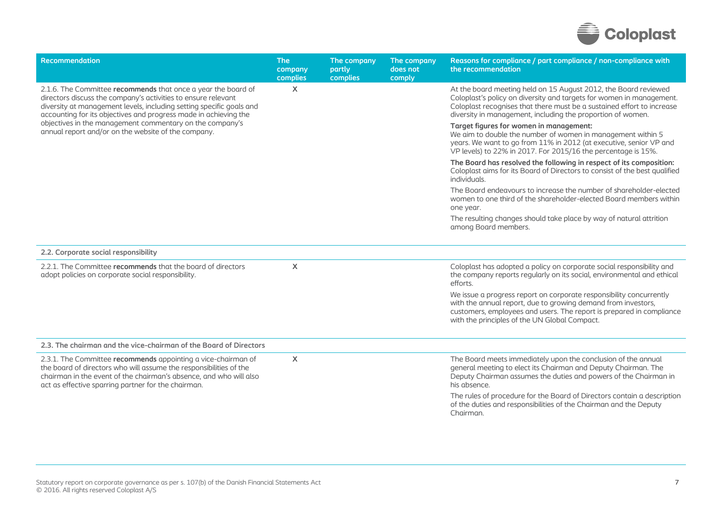

| <b>Recommendation</b>                                                                                                                                                                                                                                                      | <b>The</b><br>company<br><b>complies</b> | The company<br>partly<br>complies | The company<br>does not<br>comply | Reasons for compliance / part compliance / non-compliance with<br>the recommendation                                                                                                                                                                                             |
|----------------------------------------------------------------------------------------------------------------------------------------------------------------------------------------------------------------------------------------------------------------------------|------------------------------------------|-----------------------------------|-----------------------------------|----------------------------------------------------------------------------------------------------------------------------------------------------------------------------------------------------------------------------------------------------------------------------------|
| 2.1.6. The Committee recommends that once a year the board of<br>directors discuss the company's activities to ensure relevant<br>diversity at management levels, including setting specific goals and<br>accounting for its objectives and progress made in achieving the | $\mathsf{X}$                             |                                   |                                   | At the board meeting held on 15 August 2012, the Board reviewed<br>Coloplast's policy on diversity and targets for women in management.<br>Coloplast recognises that there must be a sustained effort to increase<br>diversity in management, including the proportion of women. |
| objectives in the management commentary on the company's<br>annual report and/or on the website of the company.                                                                                                                                                            |                                          |                                   |                                   | Target figures for women in management:<br>We aim to double the number of women in management within 5<br>years. We want to go from 11% in 2012 (at executive, senior VP and<br>VP levels) to 22% in 2017. For 2015/16 the percentage is 15%.                                    |
|                                                                                                                                                                                                                                                                            |                                          |                                   |                                   | The Board has resolved the following in respect of its composition:<br>Coloplast aims for its Board of Directors to consist of the best qualified<br>individuals.                                                                                                                |
|                                                                                                                                                                                                                                                                            |                                          |                                   |                                   | The Board endeavours to increase the number of shareholder-elected<br>women to one third of the shareholder-elected Board members within<br>one year.                                                                                                                            |
|                                                                                                                                                                                                                                                                            |                                          |                                   |                                   | The resulting changes should take place by way of natural attrition<br>among Board members.                                                                                                                                                                                      |
| 2.2. Corporate social responsibility                                                                                                                                                                                                                                       |                                          |                                   |                                   |                                                                                                                                                                                                                                                                                  |
| 2.2.1. The Committee recommends that the board of directors<br>adopt policies on corporate social responsibility.                                                                                                                                                          | X                                        |                                   |                                   | Coloplast has adopted a policy on corporate social responsibility and<br>the company reports regularly on its social, environmental and ethical<br>efforts.                                                                                                                      |
|                                                                                                                                                                                                                                                                            |                                          |                                   |                                   | We issue a progress report on corporate responsibility concurrently<br>with the annual report, due to growing demand from investors,<br>customers, employees and users. The report is prepared in compliance<br>with the principles of the UN Global Compact.                    |
| 2.3. The chairman and the vice-chairman of the Board of Directors                                                                                                                                                                                                          |                                          |                                   |                                   |                                                                                                                                                                                                                                                                                  |
| 2.3.1. The Committee recommends appointing a vice-chairman of<br>the board of directors who will assume the responsibilities of the<br>chairman in the event of the chairman's absence, and who will also<br>act as effective sparring partner for the chairman.           | $\mathsf{x}$                             |                                   |                                   | The Board meets immediately upon the conclusion of the annual<br>general meeting to elect its Chairman and Deputy Chairman. The<br>Deputy Chairman assumes the duties and powers of the Chairman in<br>his absence.                                                              |
|                                                                                                                                                                                                                                                                            |                                          |                                   |                                   | The rules of procedure for the Board of Directors contain a description<br>of the duties and responsibilities of the Chairman and the Deputy<br>Chairman.                                                                                                                        |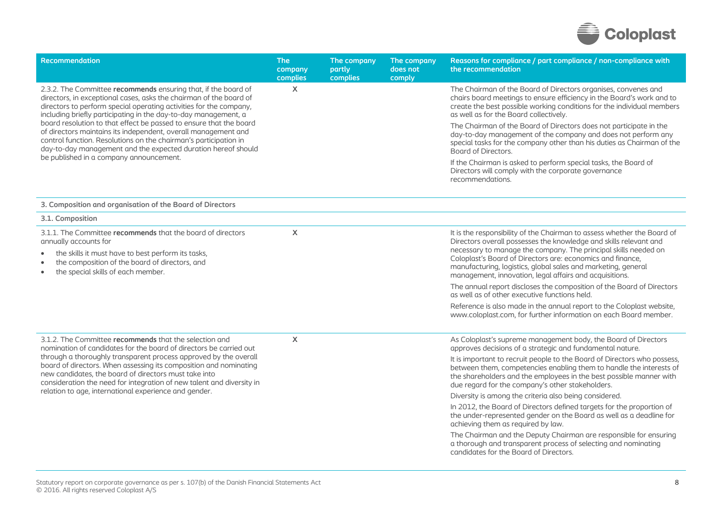

| <b>Recommendation</b>                                                                                                                                                                                                                                                                                                            | <b>The</b><br>company<br>complies | The company<br>partly<br>complies | The company<br>does not<br>comply | Reasons for compliance / part compliance / non-compliance with<br>the recommendation                                                                                                                                                                                                                                                                                                                      |
|----------------------------------------------------------------------------------------------------------------------------------------------------------------------------------------------------------------------------------------------------------------------------------------------------------------------------------|-----------------------------------|-----------------------------------|-----------------------------------|-----------------------------------------------------------------------------------------------------------------------------------------------------------------------------------------------------------------------------------------------------------------------------------------------------------------------------------------------------------------------------------------------------------|
| 2.3.2. The Committee recommends ensuring that, if the board of<br>directors, in exceptional cases, asks the chairman of the board of<br>directors to perform special operating activities for the company,<br>including briefly participating in the day-to-day management, a                                                    | $\mathsf{x}$                      |                                   |                                   | The Chairman of the Board of Directors organises, convenes and<br>chairs board meetings to ensure efficiency in the Board's work and to<br>create the best possible working conditions for the individual members<br>as well as for the Board collectively.                                                                                                                                               |
| board resolution to that effect be passed to ensure that the board<br>of directors maintains its independent, overall management and<br>control function. Resolutions on the chairman's participation in<br>day-to-day management and the expected duration hereof should                                                        |                                   |                                   |                                   | The Chairman of the Board of Directors does not participate in the<br>day-to-day management of the company and does not perform any<br>special tasks for the company other than his duties as Chairman of the<br>Board of Directors.                                                                                                                                                                      |
| be published in a company announcement.                                                                                                                                                                                                                                                                                          |                                   |                                   |                                   | If the Chairman is asked to perform special tasks, the Board of<br>Directors will comply with the corporate governance<br>recommendations.                                                                                                                                                                                                                                                                |
| 3. Composition and organisation of the Board of Directors                                                                                                                                                                                                                                                                        |                                   |                                   |                                   |                                                                                                                                                                                                                                                                                                                                                                                                           |
| 3.1. Composition                                                                                                                                                                                                                                                                                                                 |                                   |                                   |                                   |                                                                                                                                                                                                                                                                                                                                                                                                           |
| 3.1.1. The Committee recommends that the board of directors<br>annually accounts for<br>the skills it must have to best perform its tasks,<br>the composition of the board of directors, and<br>the special skills of each member.                                                                                               | $\boldsymbol{\mathsf{X}}$         |                                   |                                   | It is the responsibility of the Chairman to assess whether the Board of<br>Directors overall possesses the knowledge and skills relevant and<br>necessary to manage the company. The principal skills needed on<br>Coloplast's Board of Directors are: economics and finance,<br>manufacturing, logistics, global sales and marketing, general<br>management, innovation, legal affairs and acquisitions. |
|                                                                                                                                                                                                                                                                                                                                  |                                   |                                   |                                   | The annual report discloses the composition of the Board of Directors<br>as well as of other executive functions held.                                                                                                                                                                                                                                                                                    |
|                                                                                                                                                                                                                                                                                                                                  |                                   |                                   |                                   | Reference is also made in the annual report to the Coloplast website,<br>www.coloplast.com, for further information on each Board member.                                                                                                                                                                                                                                                                 |
| 3.1.2. The Committee recommends that the selection and<br>nomination of candidates for the board of directors be carried out                                                                                                                                                                                                     | $\sf X$                           |                                   |                                   | As Coloplast's supreme management body, the Board of Directors<br>approves decisions of a strategic and fundamental nature.                                                                                                                                                                                                                                                                               |
| through a thoroughly transparent process approved by the overall<br>board of directors. When assessing its composition and nominating<br>new candidates, the board of directors must take into<br>consideration the need for integration of new talent and diversity in<br>relation to age, international experience and gender. |                                   |                                   |                                   | It is important to recruit people to the Board of Directors who possess,<br>between them, competencies enabling them to handle the interests of<br>the shareholders and the employees in the best possible manner with<br>due regard for the company's other stakeholders.                                                                                                                                |
|                                                                                                                                                                                                                                                                                                                                  |                                   |                                   |                                   | Diversity is among the criteria also being considered.                                                                                                                                                                                                                                                                                                                                                    |
|                                                                                                                                                                                                                                                                                                                                  |                                   |                                   |                                   | In 2012, the Board of Directors defined targets for the proportion of<br>the under-represented gender on the Board as well as a deadline for<br>achieving them as required by law.                                                                                                                                                                                                                        |
|                                                                                                                                                                                                                                                                                                                                  |                                   |                                   |                                   | The Chairman and the Deputy Chairman are responsible for ensuring<br>a thorough and transparent process of selecting and nominating<br>candidates for the Board of Directors.                                                                                                                                                                                                                             |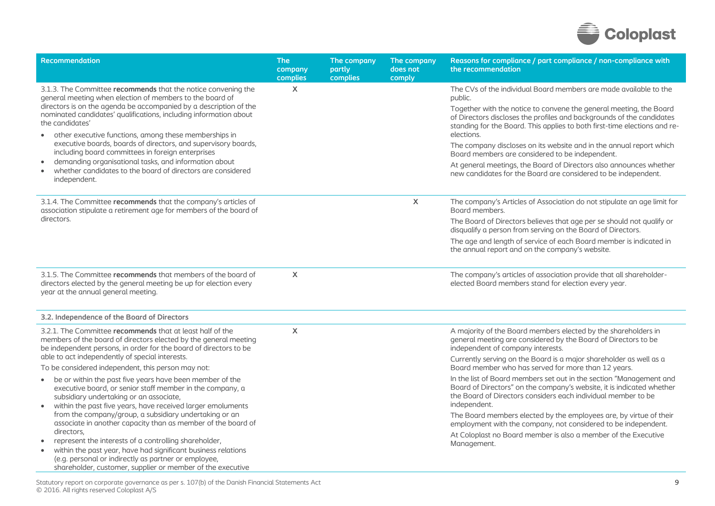

| <b>Recommendation</b>                                                                                                                                                                                                                                                                                                                                                                                                                                                                                                                                                                                                                                                                                   | <b>The</b><br>company<br>complies | The company<br>partly<br>complies | The company<br>does not<br>comply | Reasons for compliance / part compliance / non-compliance with<br>the recommendation                                                                                                                                                                                                                                                                                                                                                                                                                                                                                                     |
|---------------------------------------------------------------------------------------------------------------------------------------------------------------------------------------------------------------------------------------------------------------------------------------------------------------------------------------------------------------------------------------------------------------------------------------------------------------------------------------------------------------------------------------------------------------------------------------------------------------------------------------------------------------------------------------------------------|-----------------------------------|-----------------------------------|-----------------------------------|------------------------------------------------------------------------------------------------------------------------------------------------------------------------------------------------------------------------------------------------------------------------------------------------------------------------------------------------------------------------------------------------------------------------------------------------------------------------------------------------------------------------------------------------------------------------------------------|
| 3.1.3. The Committee recommends that the notice convening the<br>general meeting when election of members to the board of<br>directors is on the agenda be accompanied by a description of the<br>nominated candidates' qualifications, including information about<br>the candidates'<br>other executive functions, among these memberships in<br>$\bullet$<br>executive boards, boards of directors, and supervisory boards,<br>including board committees in foreign enterprises<br>demanding organisational tasks, and information about<br>$\bullet$<br>whether candidates to the board of directors are considered<br>independent.                                                                | $\mathsf{X}$                      |                                   |                                   | The CVs of the individual Board members are made available to the<br>public.<br>Together with the notice to convene the general meeting, the Board<br>of Directors discloses the profiles and backgrounds of the candidates<br>standing for the Board. This applies to both first-time elections and re-<br>elections.<br>The company discloses on its website and in the annual report which<br>Board members are considered to be independent.<br>At general meetings, the Board of Directors also announces whether<br>new candidates for the Board are considered to be independent. |
| 3.1.4. The Committee recommends that the company's articles of<br>association stipulate a retirement age for members of the board of<br>directors.                                                                                                                                                                                                                                                                                                                                                                                                                                                                                                                                                      |                                   |                                   | $\mathsf{X}$                      | The company's Articles of Association do not stipulate an age limit for<br>Board members.<br>The Board of Directors believes that age per se should not qualify or<br>disqualify a person from serving on the Board of Directors.<br>The age and length of service of each Board member is indicated in<br>the annual report and on the company's website.                                                                                                                                                                                                                               |
| 3.1.5. The Committee recommends that members of the board of<br>directors elected by the general meeting be up for election every<br>year at the annual general meeting.                                                                                                                                                                                                                                                                                                                                                                                                                                                                                                                                | $\mathsf{x}$                      |                                   |                                   | The company's articles of association provide that all shareholder-<br>elected Board members stand for election every year.                                                                                                                                                                                                                                                                                                                                                                                                                                                              |
| 3.2. Independence of the Board of Directors                                                                                                                                                                                                                                                                                                                                                                                                                                                                                                                                                                                                                                                             |                                   |                                   |                                   |                                                                                                                                                                                                                                                                                                                                                                                                                                                                                                                                                                                          |
| 3.2.1. The Committee recommends that at least half of the<br>members of the board of directors elected by the general meeting<br>be independent persons, in order for the board of directors to be<br>able to act independently of special interests.                                                                                                                                                                                                                                                                                                                                                                                                                                                   | $\mathsf{x}$                      |                                   |                                   | A majority of the Board members elected by the shareholders in<br>general meeting are considered by the Board of Directors to be<br>independent of company interests.<br>Currently serving on the Board is a major shareholder as well as a                                                                                                                                                                                                                                                                                                                                              |
| To be considered independent, this person may not:<br>be or within the past five years have been member of the<br>$\bullet$<br>executive board, or senior staff member in the company, a<br>subsidiary undertaking or an associate,<br>within the past five years, have received larger emoluments<br>$\bullet$<br>from the company/group, a subsidiary undertaking or an<br>associate in another capacity than as member of the board of<br>directors,<br>represent the interests of a controlling shareholder,<br>within the past year, have had significant business relations<br>(e.g. personal or indirectly as partner or employee,<br>shareholder, customer, supplier or member of the executive |                                   |                                   |                                   | Board member who has served for more than 12 years.<br>In the list of Board members set out in the section "Management and<br>Board of Directors" on the company's website, it is indicated whether<br>the Board of Directors considers each individual member to be<br>independent.<br>The Board members elected by the employees are, by virtue of their<br>employment with the company, not considered to be independent.<br>At Coloplast no Board member is also a member of the Executive<br>Management.                                                                            |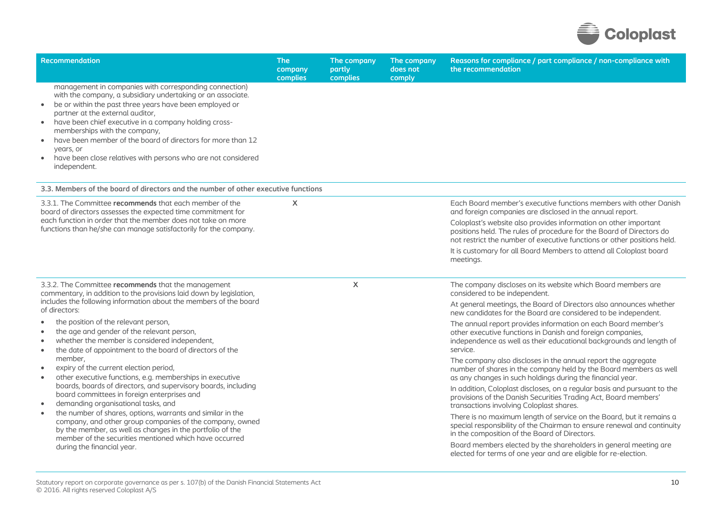

| <b>Recommendation</b>                                                                                                                                                                                                                                                                                                                                                                                                                                                                                              | <b>The</b><br>company<br>complies | The company<br>partly<br>complies | The company<br>does not<br>comply | Reasons for compliance / part compliance / non-compliance with<br>the recommendation                                                                                                                                |
|--------------------------------------------------------------------------------------------------------------------------------------------------------------------------------------------------------------------------------------------------------------------------------------------------------------------------------------------------------------------------------------------------------------------------------------------------------------------------------------------------------------------|-----------------------------------|-----------------------------------|-----------------------------------|---------------------------------------------------------------------------------------------------------------------------------------------------------------------------------------------------------------------|
| management in companies with corresponding connection)<br>with the company, a subsidiary undertaking or an associate.<br>be or within the past three years have been employed or<br>$\bullet$<br>partner at the external auditor,<br>have been chief executive in a company holding cross-<br>$\bullet$<br>memberships with the company,<br>have been member of the board of directors for more than 12<br>vears, or<br>have been close relatives with persons who are not considered<br>$\bullet$<br>independent. |                                   |                                   |                                   |                                                                                                                                                                                                                     |
| 3.3. Members of the board of directors and the number of other executive functions                                                                                                                                                                                                                                                                                                                                                                                                                                 |                                   |                                   |                                   |                                                                                                                                                                                                                     |
| 3.3.1. The Committee recommends that each member of the<br>board of directors assesses the expected time commitment for                                                                                                                                                                                                                                                                                                                                                                                            | X                                 |                                   |                                   | Each Board member's executive functions members with other Danish<br>and foreign companies are disclosed in the annual report.                                                                                      |
| each function in order that the member does not take on more<br>functions than he/she can manage satisfactorily for the company.                                                                                                                                                                                                                                                                                                                                                                                   |                                   |                                   |                                   | Coloplast's website also provides information on other important<br>positions held. The rules of procedure for the Board of Directors do<br>not restrict the number of executive functions or other positions held. |
|                                                                                                                                                                                                                                                                                                                                                                                                                                                                                                                    |                                   |                                   |                                   | It is customary for all Board Members to attend all Coloplast board<br>meetings.                                                                                                                                    |
| 3.3.2. The Committee recommends that the management<br>commentary, in addition to the provisions laid down by legislation,                                                                                                                                                                                                                                                                                                                                                                                         |                                   | X                                 |                                   | The company discloses on its website which Board members are<br>considered to be independent.                                                                                                                       |
| includes the following information about the members of the board<br>of directors:                                                                                                                                                                                                                                                                                                                                                                                                                                 |                                   |                                   |                                   | At general meetings, the Board of Directors also announces whether<br>new candidates for the Board are considered to be independent.                                                                                |
| the position of the relevant person,<br>the age and gender of the relevant person,<br>$\bullet$<br>whether the member is considered independent,<br>$\bullet$<br>the date of appointment to the board of directors of the<br>$\bullet$                                                                                                                                                                                                                                                                             |                                   |                                   |                                   | The annual report provides information on each Board member's<br>other executive functions in Danish and foreign companies,<br>independence as well as their educational backgrounds and length of<br>service.      |
| member,<br>expiry of the current election period,<br>$\bullet$<br>other executive functions, e.g. memberships in executive<br>$\bullet$                                                                                                                                                                                                                                                                                                                                                                            |                                   |                                   |                                   | The company also discloses in the annual report the aggregate<br>number of shares in the company held by the Board members as well<br>as any changes in such holdings during the financial year.                    |
| boards, boards of directors, and supervisory boards, including<br>board committees in foreign enterprises and<br>demanding organisational tasks, and<br>$\bullet$                                                                                                                                                                                                                                                                                                                                                  |                                   |                                   |                                   | In addition, Coloplast discloses, on a regular basis and pursuant to the<br>provisions of the Danish Securities Trading Act, Board members'<br>transactions involving Coloplast shares.                             |
| the number of shares, options, warrants and similar in the<br>$\bullet$<br>company, and other group companies of the company, owned<br>by the member, as well as changes in the portfolio of the<br>member of the securities mentioned which have occurred                                                                                                                                                                                                                                                         |                                   |                                   |                                   | There is no maximum length of service on the Board, but it remains a<br>special responsibility of the Chairman to ensure renewal and continuity<br>in the composition of the Board of Directors.                    |
| during the financial year.                                                                                                                                                                                                                                                                                                                                                                                                                                                                                         |                                   |                                   |                                   | Board members elected by the shareholders in general meeting are<br>elected for terms of one year and are eligible for re-election.                                                                                 |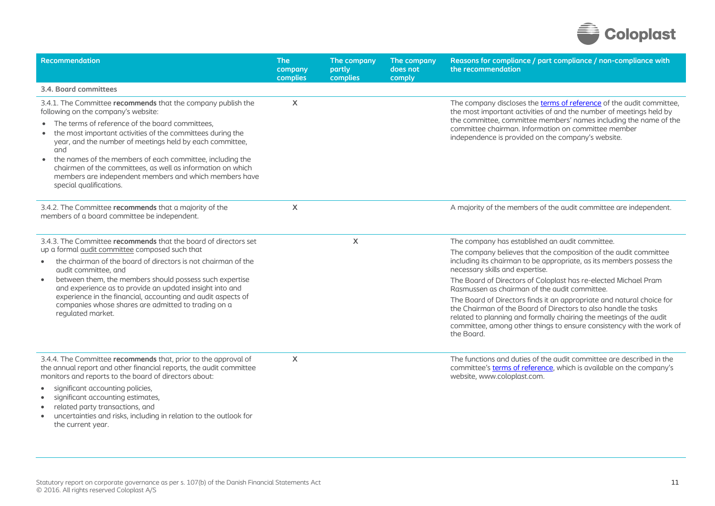

| <b>Recommendation</b>                                                                                                                                                                                                                                                                                                                                                                                                                                                                                          | <b>The</b><br>company<br>complies | The company<br>partly<br>complies | The company<br>does not<br>comply | Reasons for compliance / part compliance / non-compliance with<br>the recommendation                                                                                                                                                                                                                                          |
|----------------------------------------------------------------------------------------------------------------------------------------------------------------------------------------------------------------------------------------------------------------------------------------------------------------------------------------------------------------------------------------------------------------------------------------------------------------------------------------------------------------|-----------------------------------|-----------------------------------|-----------------------------------|-------------------------------------------------------------------------------------------------------------------------------------------------------------------------------------------------------------------------------------------------------------------------------------------------------------------------------|
| 3.4. Board committees                                                                                                                                                                                                                                                                                                                                                                                                                                                                                          |                                   |                                   |                                   |                                                                                                                                                                                                                                                                                                                               |
| 3.4.1. The Committee recommends that the company publish the<br>following on the company's website:<br>• The terms of reference of the board committees,<br>• the most important activities of the committees during the<br>year, and the number of meetings held by each committee,<br>and<br>• the names of the members of each committee, including the<br>chairmen of the committees, as well as information on which<br>members are independent members and which members have<br>special qualifications. | $\mathsf{X}$                      |                                   |                                   | The company discloses the terms of reference of the audit committee,<br>the most important activities of and the number of meetings held by<br>the committee, committee members' names including the name of the<br>committee chairman. Information on committee member<br>independence is provided on the company's website. |
| 3.4.2. The Committee recommends that a majority of the<br>members of a board committee be independent.                                                                                                                                                                                                                                                                                                                                                                                                         | X                                 |                                   |                                   | A majority of the members of the audit committee are independent.                                                                                                                                                                                                                                                             |
| 3.4.3. The Committee recommends that the board of directors set                                                                                                                                                                                                                                                                                                                                                                                                                                                |                                   | $\mathsf{x}$                      |                                   | The company has established an audit committee.                                                                                                                                                                                                                                                                               |
| up a formal audit committee composed such that<br>the chairman of the board of directors is not chairman of the<br>$\bullet$<br>audit committee, and                                                                                                                                                                                                                                                                                                                                                           |                                   |                                   |                                   | The company believes that the composition of the audit committee<br>including its chairman to be appropriate, as its members possess the<br>necessary skills and expertise.                                                                                                                                                   |
| between them, the members should possess such expertise<br>$\bullet$<br>and experience as to provide an updated insight into and                                                                                                                                                                                                                                                                                                                                                                               |                                   |                                   |                                   | The Board of Directors of Coloplast has re-elected Michael Pram<br>Rasmussen as chairman of the audit committee.                                                                                                                                                                                                              |
| experience in the financial, accounting and audit aspects of<br>companies whose shares are admitted to trading on a<br>regulated market.                                                                                                                                                                                                                                                                                                                                                                       |                                   |                                   |                                   | The Board of Directors finds it an appropriate and natural choice for<br>the Chairman of the Board of Directors to also handle the tasks<br>related to planning and formally chairing the meetings of the audit<br>committee, among other things to ensure consistency with the work of<br>the Board.                         |
| 3.4.4. The Committee recommends that, prior to the approval of<br>the annual report and other financial reports, the audit committee<br>monitors and reports to the board of directors about:                                                                                                                                                                                                                                                                                                                  | $\mathsf{X}$                      |                                   |                                   | The functions and duties of the audit committee are described in the<br>committee's terms of reference, which is available on the company's<br>website, www.coloplast.com.                                                                                                                                                    |
| significant accounting policies,<br>significant accounting estimates,<br>related party transactions, and<br>uncertainties and risks, including in relation to the outlook for<br>the current year.                                                                                                                                                                                                                                                                                                             |                                   |                                   |                                   |                                                                                                                                                                                                                                                                                                                               |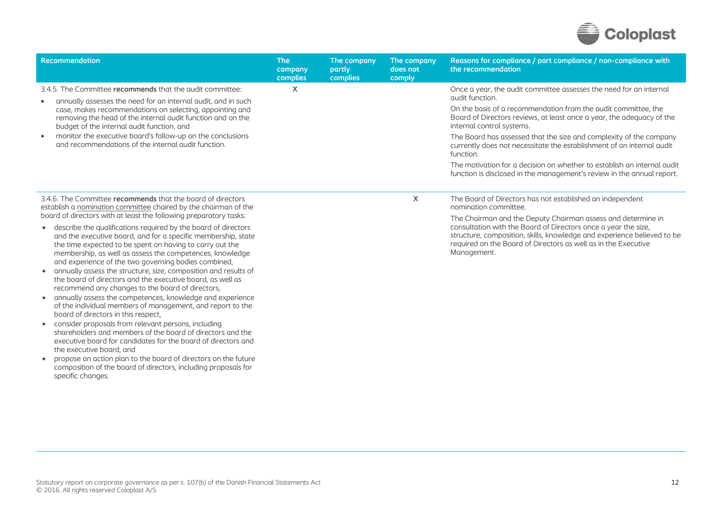

| Recommendation                                                                                                                                                                                                                                                                                                                                                                                                                                                                                                                                                                                                                                                                                                                                                           | <b>The</b><br>company<br>complies | The company<br>partly<br>complies | The company<br>does not<br>comply | Reasons for compliance / part compliance / non-compliance with<br>the recommendation                                                                                                                                                                                                                                                                                                                                                                                                                                                                                           |
|--------------------------------------------------------------------------------------------------------------------------------------------------------------------------------------------------------------------------------------------------------------------------------------------------------------------------------------------------------------------------------------------------------------------------------------------------------------------------------------------------------------------------------------------------------------------------------------------------------------------------------------------------------------------------------------------------------------------------------------------------------------------------|-----------------------------------|-----------------------------------|-----------------------------------|--------------------------------------------------------------------------------------------------------------------------------------------------------------------------------------------------------------------------------------------------------------------------------------------------------------------------------------------------------------------------------------------------------------------------------------------------------------------------------------------------------------------------------------------------------------------------------|
| 3.4.5. The Committee recommends that the audit committee:<br>annually assesses the need for an internal audit, and in such<br>$\bullet$<br>case, makes recommendations on selecting, appointing and<br>removing the head of the internal audit function and on the<br>budget of the internal audit function, and<br>monitor the executive board's follow-up on the conclusions<br>$\bullet$<br>and recommendations of the internal audit function.                                                                                                                                                                                                                                                                                                                       | X                                 |                                   |                                   | Once a year, the audit committee assesses the need for an internal<br>qudit function.<br>On the basis of a recommendation from the audit committee, the<br>Board of Directors reviews, at least once a year, the adequacy of the<br>internal control systems.<br>The Board has assessed that the size and complexity of the company<br>currently does not necessitate the establishment of an internal audit<br>function.<br>The motivation for a decision on whether to establish an internal audit<br>function is disclosed in the management's review in the annual report. |
| 3.4.6. The Committee recommends that the board of directors<br>establish a nomination committee chaired by the chairman of the<br>board of directors with at least the following preparatory tasks:<br>describe the qualifications required by the board of directors<br>and the executive board, and for a specific membership, state<br>the time expected to be spent on having to carry out the<br>membership, as well as assess the competences, knowledge<br>and experience of the two governing bodies combined,<br>annually assess the structure, size, composition and results of<br>the board of directors and the executive board, as well as<br>recommend any changes to the board of directors,<br>annually assess the competences, knowledge and experience |                                   |                                   | X                                 | The Board of Directors has not established an independent<br>nomination committee.<br>The Chairman and the Deputy Chairman assess and determine in<br>consultation with the Board of Directors once a year the size,<br>structure, composition, skills, knowledge and experience believed to be<br>required on the Board of Directors as well as in the Executive<br>Management.                                                                                                                                                                                               |

of the individual members of management, and report to the

shareholders and members of the board of directors and the executive board for candidates for the board of directors and

 propose an action plan to the board of directors on the future composition of the board of directors, including proposals for

consider proposals from relevant persons, including

board of directors in this respect,

the executive board, and

specific changes.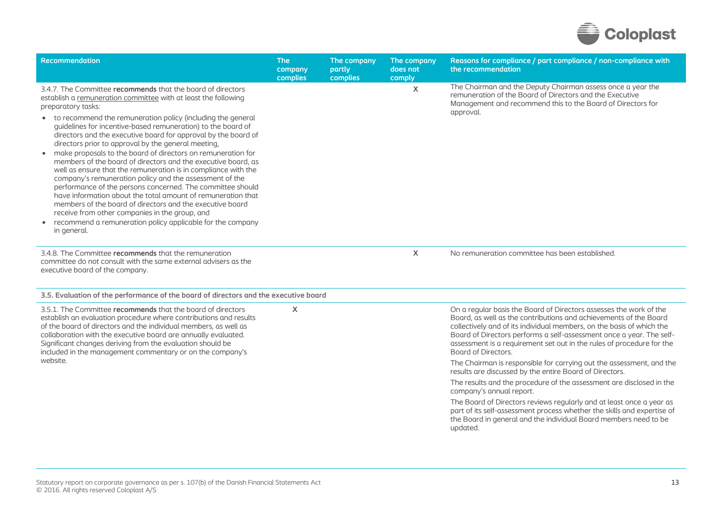

| Recommendation                                                                                                                                                                                                                                                                                                                                                                                                                                                                                                                                                                                                                                                                                                                                                                                                                                                | <b>The</b><br>company<br>complies | The company<br>partly<br>complies | The company<br>does not<br>comply | Reasons for compliance / part compliance / non-compliance with<br>the recommendation                                                                                                                                                                                                                                                                                                     |
|---------------------------------------------------------------------------------------------------------------------------------------------------------------------------------------------------------------------------------------------------------------------------------------------------------------------------------------------------------------------------------------------------------------------------------------------------------------------------------------------------------------------------------------------------------------------------------------------------------------------------------------------------------------------------------------------------------------------------------------------------------------------------------------------------------------------------------------------------------------|-----------------------------------|-----------------------------------|-----------------------------------|------------------------------------------------------------------------------------------------------------------------------------------------------------------------------------------------------------------------------------------------------------------------------------------------------------------------------------------------------------------------------------------|
| 3.4.7. The Committee recommends that the board of directors<br>establish a remuneration committee with at least the following<br>preparatory tasks:                                                                                                                                                                                                                                                                                                                                                                                                                                                                                                                                                                                                                                                                                                           |                                   |                                   | $\sf X$                           | The Chairman and the Deputy Chairman assess once a year the<br>remuneration of the Board of Directors and the Executive<br>Management and recommend this to the Board of Directors for<br>approval.                                                                                                                                                                                      |
| • to recommend the remuneration policy (including the general<br>quidelines for incentive-based remuneration) to the board of<br>directors and the executive board for approval by the board of<br>directors prior to approval by the general meeting,<br>make proposals to the board of directors on remuneration for<br>$\bullet$<br>members of the board of directors and the executive board, as<br>well as ensure that the remuneration is in compliance with the<br>company's remuneration policy and the assessment of the<br>performance of the persons concerned. The committee should<br>have information about the total amount of remuneration that<br>members of the board of directors and the executive board<br>receive from other companies in the group, and<br>• recommend a remuneration policy applicable for the company<br>in general. |                                   |                                   |                                   |                                                                                                                                                                                                                                                                                                                                                                                          |
| 3.4.8. The Committee recommends that the remuneration<br>committee do not consult with the same external advisers as the<br>executive board of the company.                                                                                                                                                                                                                                                                                                                                                                                                                                                                                                                                                                                                                                                                                                   |                                   |                                   | $\boldsymbol{\mathsf{X}}$         | No remuneration committee has been established.                                                                                                                                                                                                                                                                                                                                          |
| 3.5. Evaluation of the performance of the board of directors and the executive board                                                                                                                                                                                                                                                                                                                                                                                                                                                                                                                                                                                                                                                                                                                                                                          |                                   |                                   |                                   |                                                                                                                                                                                                                                                                                                                                                                                          |
| 3.5.1. The Committee recommends that the board of directors<br>establish an evaluation procedure where contributions and results<br>of the board of directors and the individual members, as well as<br>collaboration with the executive board are annually evaluated.<br>Significant changes deriving from the evaluation should be<br>included in the management commentary or on the company's<br>website.                                                                                                                                                                                                                                                                                                                                                                                                                                                 | $\boldsymbol{\mathsf{X}}$         |                                   |                                   | On a regular basis the Board of Directors assesses the work of the<br>Board, as well as the contributions and achievements of the Board<br>collectively and of its individual members, on the basis of which the<br>Board of Directors performs a self-assessment once a year. The self-<br>assessment is a requirement set out in the rules of procedure for the<br>Board of Directors. |
|                                                                                                                                                                                                                                                                                                                                                                                                                                                                                                                                                                                                                                                                                                                                                                                                                                                               |                                   |                                   |                                   | The Chairman is responsible for carrying out the assessment, and the<br>results are discussed by the entire Board of Directors.                                                                                                                                                                                                                                                          |
|                                                                                                                                                                                                                                                                                                                                                                                                                                                                                                                                                                                                                                                                                                                                                                                                                                                               |                                   |                                   |                                   | The results and the procedure of the assessment are disclosed in the<br>company's annual report.                                                                                                                                                                                                                                                                                         |
|                                                                                                                                                                                                                                                                                                                                                                                                                                                                                                                                                                                                                                                                                                                                                                                                                                                               |                                   |                                   |                                   | The Board of Directors reviews regularly and at least once a year as<br>part of its self-assessment process whether the skills and expertise of<br>the Board in general and the individual Board members need to be<br>updated.                                                                                                                                                          |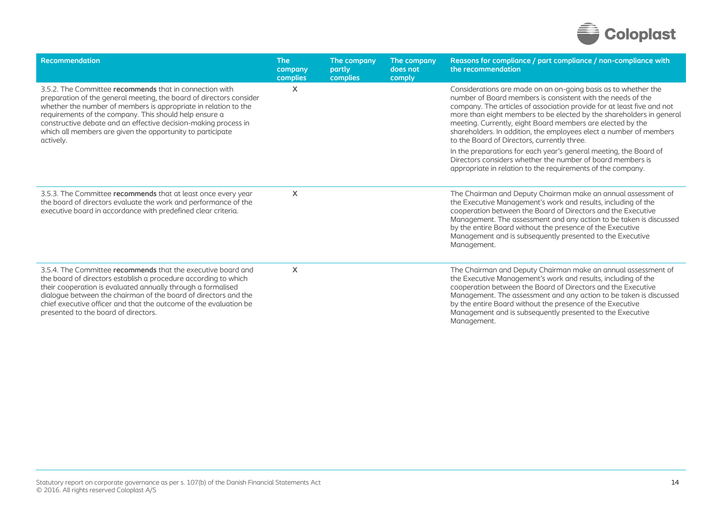

| <b>Recommendation</b>                                                                                                                                                                                                                                                                                                                                                                                     | <b>The</b><br>company<br>complies | The company<br>partly<br>complies | The company<br>does not<br>comply | Reasons for compliance / part compliance / non-compliance with<br>the recommendation                                                                                                                                                                                                                                                                                                                                                                                                                                                                                                                                                                                 |
|-----------------------------------------------------------------------------------------------------------------------------------------------------------------------------------------------------------------------------------------------------------------------------------------------------------------------------------------------------------------------------------------------------------|-----------------------------------|-----------------------------------|-----------------------------------|----------------------------------------------------------------------------------------------------------------------------------------------------------------------------------------------------------------------------------------------------------------------------------------------------------------------------------------------------------------------------------------------------------------------------------------------------------------------------------------------------------------------------------------------------------------------------------------------------------------------------------------------------------------------|
| 3.5.2. The Committee recommends that in connection with<br>preparation of the general meeting, the board of directors consider<br>whether the number of members is appropriate in relation to the<br>requirements of the company. This should help ensure a<br>constructive debate and an effective decision-making process in<br>which all members are given the opportunity to participate<br>actively. | X                                 |                                   |                                   | Considerations are made on an on-going basis as to whether the<br>number of Board members is consistent with the needs of the<br>company. The articles of association provide for at least five and not<br>more than eight members to be elected by the shareholders in general<br>meeting. Currently, eight Board members are elected by the<br>shareholders. In addition, the employees elect a number of members<br>to the Board of Directors, currently three.<br>In the preparations for each year's general meeting, the Board of<br>Directors considers whether the number of board members is<br>appropriate in relation to the requirements of the company. |
| 3.5.3. The Committee recommends that at least once every year<br>the board of directors evaluate the work and performance of the<br>executive board in accordance with predefined clear criteria.                                                                                                                                                                                                         | X                                 |                                   |                                   | The Chairman and Deputy Chairman make an annual assessment of<br>the Executive Management's work and results, including of the<br>cooperation between the Board of Directors and the Executive<br>Management. The assessment and any action to be taken is discussed<br>by the entire Board without the presence of the Executive<br>Management and is subsequently presented to the Executive<br>Management.                                                                                                                                                                                                                                                        |
| 3.5.4. The Committee recommends that the executive board and<br>the board of directors establish a procedure according to which<br>their cooperation is evaluated annually through a formalised<br>dialogue between the chairman of the board of directors and the<br>chief executive officer and that the outcome of the evaluation be<br>presented to the board of directors.                           | X                                 |                                   |                                   | The Chairman and Deputy Chairman make an annual assessment of<br>the Executive Management's work and results, including of the<br>cooperation between the Board of Directors and the Executive<br>Management. The assessment and any action to be taken is discussed<br>by the entire Board without the presence of the Executive<br>Management and is subsequently presented to the Executive<br>Management.                                                                                                                                                                                                                                                        |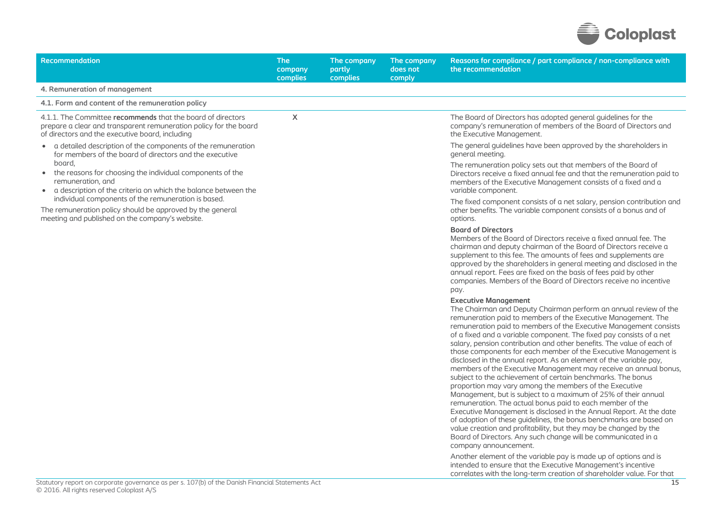

| <b>Recommendation</b>                                                                                                                                                               | <b>The</b><br>company<br>complies | The company<br>partly<br>complies | The company<br>does not<br>comply | Reasons for compliance / part compliance / non-compliance with<br>the recommendation                                                                                                                                                                                                                                                                                                                                                                                                                                                                                                                                                                                                                                                                                                                                                                                                                                                                                                                                                                                                                                                                                   |
|-------------------------------------------------------------------------------------------------------------------------------------------------------------------------------------|-----------------------------------|-----------------------------------|-----------------------------------|------------------------------------------------------------------------------------------------------------------------------------------------------------------------------------------------------------------------------------------------------------------------------------------------------------------------------------------------------------------------------------------------------------------------------------------------------------------------------------------------------------------------------------------------------------------------------------------------------------------------------------------------------------------------------------------------------------------------------------------------------------------------------------------------------------------------------------------------------------------------------------------------------------------------------------------------------------------------------------------------------------------------------------------------------------------------------------------------------------------------------------------------------------------------|
| 4. Remuneration of management                                                                                                                                                       |                                   |                                   |                                   |                                                                                                                                                                                                                                                                                                                                                                                                                                                                                                                                                                                                                                                                                                                                                                                                                                                                                                                                                                                                                                                                                                                                                                        |
| 4.1. Form and content of the remuneration policy                                                                                                                                    |                                   |                                   |                                   |                                                                                                                                                                                                                                                                                                                                                                                                                                                                                                                                                                                                                                                                                                                                                                                                                                                                                                                                                                                                                                                                                                                                                                        |
| 4.1.1. The Committee recommends that the board of directors<br>prepare a clear and transparent remuneration policy for the board<br>of directors and the executive board, including | X                                 |                                   |                                   | The Board of Directors has adopted general guidelines for the<br>company's remuneration of members of the Board of Directors and<br>the Executive Management.                                                                                                                                                                                                                                                                                                                                                                                                                                                                                                                                                                                                                                                                                                                                                                                                                                                                                                                                                                                                          |
| a detailed description of the components of the remuneration<br>$\bullet$<br>for members of the board of directors and the executive                                                |                                   |                                   |                                   | The general guidelines have been approved by the shareholders in<br>general meeting.                                                                                                                                                                                                                                                                                                                                                                                                                                                                                                                                                                                                                                                                                                                                                                                                                                                                                                                                                                                                                                                                                   |
| board,<br>• the reasons for choosing the individual components of the<br>remuneration, and<br>• a description of the criteria on which the balance between the                      |                                   |                                   |                                   | The remuneration policy sets out that members of the Board of<br>Directors receive a fixed annual fee and that the remuneration paid to<br>members of the Executive Management consists of a fixed and a<br>variable component.                                                                                                                                                                                                                                                                                                                                                                                                                                                                                                                                                                                                                                                                                                                                                                                                                                                                                                                                        |
| individual components of the remuneration is based.<br>The remuneration policy should be approved by the general<br>meeting and published on the company's website.                 |                                   |                                   |                                   | The fixed component consists of a net salary, pension contribution and<br>other benefits. The variable component consists of a bonus and of<br>options.                                                                                                                                                                                                                                                                                                                                                                                                                                                                                                                                                                                                                                                                                                                                                                                                                                                                                                                                                                                                                |
|                                                                                                                                                                                     |                                   |                                   |                                   | <b>Board of Directors</b><br>Members of the Board of Directors receive a fixed annual fee. The<br>chairman and deputy chairman of the Board of Directors receive a<br>supplement to this fee. The amounts of fees and supplements are<br>approved by the shareholders in general meeting and disclosed in the<br>annual report. Fees are fixed on the basis of fees paid by other<br>companies. Members of the Board of Directors receive no incentive<br>pay.                                                                                                                                                                                                                                                                                                                                                                                                                                                                                                                                                                                                                                                                                                         |
|                                                                                                                                                                                     |                                   |                                   |                                   | <b>Executive Management</b><br>The Chairman and Deputy Chairman perform an annual review of the<br>remuneration paid to members of the Executive Management. The<br>remuneration paid to members of the Executive Management consists<br>of a fixed and a variable component. The fixed pay consists of a net<br>salary, pension contribution and other benefits. The value of each of<br>those components for each member of the Executive Management is<br>disclosed in the annual report. As an element of the variable pay,<br>members of the Executive Management may receive an annual bonus,<br>subject to the achievement of certain benchmarks. The bonus<br>proportion may vary among the members of the Executive<br>Management, but is subject to a maximum of 25% of their annual<br>remuneration. The actual bonus paid to each member of the<br>Executive Management is disclosed in the Annual Report. At the date<br>of adoption of these guidelines, the bonus benchmarks are based on<br>value creation and profitability, but they may be changed by the<br>Board of Directors. Any such change will be communicated in a<br>company announcement. |
|                                                                                                                                                                                     |                                   |                                   |                                   | Another element of the variable pay is made up of options and is<br>intended to ensure that the Executive Management's incentive                                                                                                                                                                                                                                                                                                                                                                                                                                                                                                                                                                                                                                                                                                                                                                                                                                                                                                                                                                                                                                       |

correlates with the long-term creation of shareholder value. For that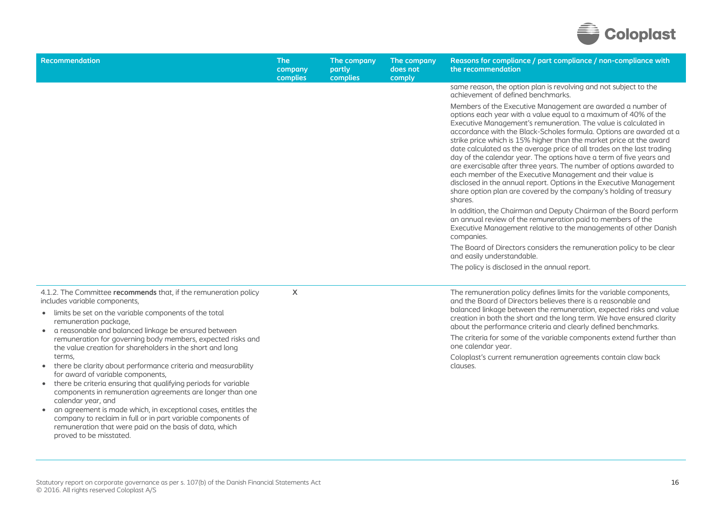

| Recommendation                                                                                                                                                                                | <b>The</b><br>company<br><b>complies</b> | The company<br>partly<br>complies | The company<br>does not<br>comply | Reasons for compliance / part compliance / non-compliance with<br>the recommendation                                                                                                                                                                                                                                                                                                                                                                                                                                                                                                                                                                                                                                                                                                          |
|-----------------------------------------------------------------------------------------------------------------------------------------------------------------------------------------------|------------------------------------------|-----------------------------------|-----------------------------------|-----------------------------------------------------------------------------------------------------------------------------------------------------------------------------------------------------------------------------------------------------------------------------------------------------------------------------------------------------------------------------------------------------------------------------------------------------------------------------------------------------------------------------------------------------------------------------------------------------------------------------------------------------------------------------------------------------------------------------------------------------------------------------------------------|
|                                                                                                                                                                                               |                                          |                                   |                                   | same reason, the option plan is revolving and not subject to the<br>achievement of defined benchmarks.                                                                                                                                                                                                                                                                                                                                                                                                                                                                                                                                                                                                                                                                                        |
|                                                                                                                                                                                               |                                          |                                   |                                   | Members of the Executive Management are awarded a number of<br>options each year with a value equal to a maximum of 40% of the<br>Executive Management's remuneration. The value is calculated in<br>accordance with the Black-Scholes formula. Options are awarded at a<br>strike price which is 15% higher than the market price at the award<br>date calculated as the average price of all trades on the last trading<br>day of the calendar year. The options have a term of five years and<br>are exercisable after three years. The number of options awarded to<br>each member of the Executive Management and their value is<br>disclosed in the annual report. Options in the Executive Management<br>share option plan are covered by the company's holding of treasury<br>shares. |
|                                                                                                                                                                                               |                                          |                                   |                                   | In addition, the Chairman and Deputy Chairman of the Board perform<br>an annual review of the remuneration paid to members of the<br>Executive Management relative to the managements of other Danish<br>companies.                                                                                                                                                                                                                                                                                                                                                                                                                                                                                                                                                                           |
|                                                                                                                                                                                               |                                          |                                   |                                   | The Board of Directors considers the remuneration policy to be clear<br>and easily understandable.                                                                                                                                                                                                                                                                                                                                                                                                                                                                                                                                                                                                                                                                                            |
|                                                                                                                                                                                               |                                          |                                   |                                   | The policy is disclosed in the annual report.                                                                                                                                                                                                                                                                                                                                                                                                                                                                                                                                                                                                                                                                                                                                                 |
| 4.1.2. The Committee recommends that, if the remuneration policy<br>includes variable components,<br>• limits be set on the variable components of the total<br>remuneration package,         | X                                        |                                   |                                   | The remuneration policy defines limits for the variable components,<br>and the Board of Directors believes there is a reasonable and<br>balanced linkage between the remuneration, expected risks and value<br>creation in both the short and the long term. We have ensured clarity<br>about the performance criteria and clearly defined benchmarks.                                                                                                                                                                                                                                                                                                                                                                                                                                        |
| a reasonable and balanced linkage be ensured between<br>$\bullet$<br>remuneration for governing body members, expected risks and<br>the value creation for shareholders in the short and long |                                          |                                   |                                   | The criteria for some of the variable components extend further than<br>one calendar year.                                                                                                                                                                                                                                                                                                                                                                                                                                                                                                                                                                                                                                                                                                    |
| terms,<br>• there be clarity about performance criteria and measurability<br>for award of variable components,                                                                                |                                          |                                   |                                   | Coloplast's current remuneration agreements contain claw back<br>clauses.                                                                                                                                                                                                                                                                                                                                                                                                                                                                                                                                                                                                                                                                                                                     |
| • there be criteria ensuring that qualifying periods for variable<br>components in remuneration agreements are longer than one<br>calendar year, and                                          |                                          |                                   |                                   |                                                                                                                                                                                                                                                                                                                                                                                                                                                                                                                                                                                                                                                                                                                                                                                               |
| an agreement is made which, in exceptional cases, entitles the<br>company to reclaim in full or in part variable components of<br>remuneration that were paid on the basis of data, which     |                                          |                                   |                                   |                                                                                                                                                                                                                                                                                                                                                                                                                                                                                                                                                                                                                                                                                                                                                                                               |

proved to be misstated.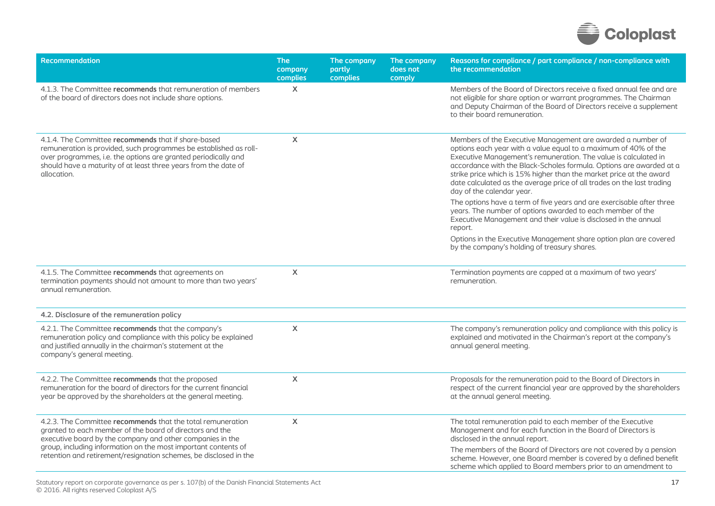

| <b>Recommendation</b>                                                                                                                                                                                                                                                        | <b>The</b><br>company<br>complies | The company<br>partly<br>complies | The company<br>does not<br>comply | Reasons for compliance / part compliance / non-compliance with<br>the recommendation                                                                                                                                                                                                                                                                                                                                                                   |
|------------------------------------------------------------------------------------------------------------------------------------------------------------------------------------------------------------------------------------------------------------------------------|-----------------------------------|-----------------------------------|-----------------------------------|--------------------------------------------------------------------------------------------------------------------------------------------------------------------------------------------------------------------------------------------------------------------------------------------------------------------------------------------------------------------------------------------------------------------------------------------------------|
| 4.1.3. The Committee recommends that remuneration of members<br>of the board of directors does not include share options.                                                                                                                                                    | $\boldsymbol{\mathsf{X}}$         |                                   |                                   | Members of the Board of Directors receive a fixed annual fee and are<br>not eligible for share option or warrant programmes. The Chairman<br>and Deputy Chairman of the Board of Directors receive a supplement<br>to their board remuneration.                                                                                                                                                                                                        |
| 4.1.4. The Committee recommends that if share-based<br>remuneration is provided, such programmes be established as roll-<br>over programmes, i.e. the options are granted periodically and<br>should have a maturity of at least three years from the date of<br>allocation. | X                                 |                                   |                                   | Members of the Executive Management are awarded a number of<br>options each year with a value equal to a maximum of 40% of the<br>Executive Management's remuneration. The value is calculated in<br>accordance with the Black-Scholes formula. Options are awarded at a<br>strike price which is 15% higher than the market price at the award<br>date calculated as the average price of all trades on the last trading<br>day of the calendar year. |
|                                                                                                                                                                                                                                                                              |                                   |                                   |                                   | The options have a term of five years and are exercisable after three<br>years. The number of options awarded to each member of the<br>Executive Management and their value is disclosed in the annual<br>report.                                                                                                                                                                                                                                      |
|                                                                                                                                                                                                                                                                              |                                   |                                   |                                   | Options in the Executive Management share option plan are covered<br>by the company's holding of treasury shares.                                                                                                                                                                                                                                                                                                                                      |
| 4.1.5. The Committee recommends that agreements on<br>termination payments should not amount to more than two years'<br>annual remuneration.                                                                                                                                 | $\pmb{\times}$                    |                                   |                                   | Termination payments are capped at a maximum of two years'<br>remuneration.                                                                                                                                                                                                                                                                                                                                                                            |
| 4.2. Disclosure of the remuneration policy                                                                                                                                                                                                                                   |                                   |                                   |                                   |                                                                                                                                                                                                                                                                                                                                                                                                                                                        |
| 4.2.1. The Committee recommends that the company's<br>remuneration policy and compliance with this policy be explained<br>and justified annually in the chairman's statement at the<br>company's general meeting.                                                            | $\boldsymbol{\mathsf{X}}$         |                                   |                                   | The company's remuneration policy and compliance with this policy is<br>explained and motivated in the Chairman's report at the company's<br>annual general meeting.                                                                                                                                                                                                                                                                                   |
| 4.2.2. The Committee recommends that the proposed<br>remuneration for the board of directors for the current financial<br>year be approved by the shareholders at the general meeting.                                                                                       | X                                 |                                   |                                   | Proposals for the remuneration paid to the Board of Directors in<br>respect of the current financial year are approved by the shareholders<br>at the annual general meeting.                                                                                                                                                                                                                                                                           |
| 4.2.3. The Committee recommends that the total remuneration<br>granted to each member of the board of directors and the<br>executive board by the company and other companies in the                                                                                         | $\pmb{\times}$                    |                                   |                                   | The total remuneration paid to each member of the Executive<br>Management and for each function in the Board of Directors is<br>disclosed in the annual report.                                                                                                                                                                                                                                                                                        |
| group, including information on the most important contents of<br>retention and retirement/resignation schemes, be disclosed in the                                                                                                                                          |                                   |                                   |                                   | The members of the Board of Directors are not covered by a pension<br>scheme. However, one Board member is covered by a defined benefit<br>scheme which applied to Board members prior to an amendment to                                                                                                                                                                                                                                              |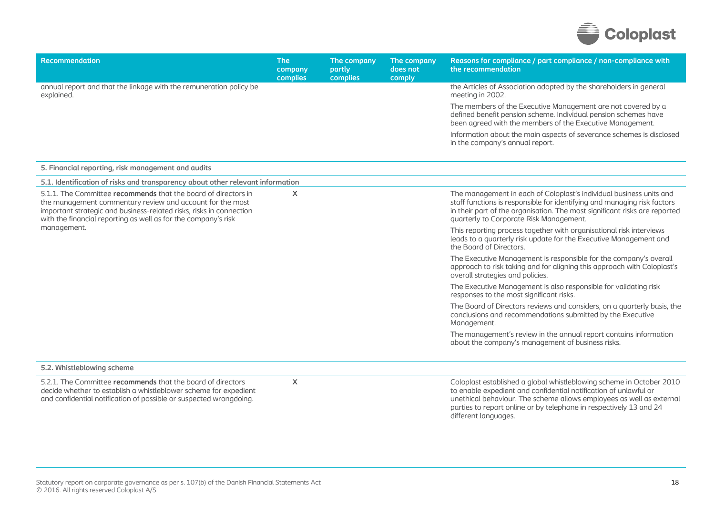

| <b>Recommendation</b>                                                                                                                                                                                                                                                | <b>The</b><br>company<br>complies | The company<br>partly<br>complies | The company<br>does not<br>comply | Reasons for compliance / part compliance / non-compliance with<br>the recommendation                                                                                                                                                                                                   |
|----------------------------------------------------------------------------------------------------------------------------------------------------------------------------------------------------------------------------------------------------------------------|-----------------------------------|-----------------------------------|-----------------------------------|----------------------------------------------------------------------------------------------------------------------------------------------------------------------------------------------------------------------------------------------------------------------------------------|
| annual report and that the linkage with the remuneration policy be<br>explained.                                                                                                                                                                                     |                                   |                                   |                                   | the Articles of Association adopted by the shareholders in general<br>meeting in 2002.                                                                                                                                                                                                 |
|                                                                                                                                                                                                                                                                      |                                   |                                   |                                   | The members of the Executive Management are not covered by a<br>defined benefit pension scheme. Individual pension schemes have<br>been agreed with the members of the Executive Management.                                                                                           |
|                                                                                                                                                                                                                                                                      |                                   |                                   |                                   | Information about the main aspects of severance schemes is disclosed<br>in the company's annual report.                                                                                                                                                                                |
| 5. Financial reporting, risk management and audits                                                                                                                                                                                                                   |                                   |                                   |                                   |                                                                                                                                                                                                                                                                                        |
| 5.1. Identification of risks and transparency about other relevant information                                                                                                                                                                                       |                                   |                                   |                                   |                                                                                                                                                                                                                                                                                        |
| 5.1.1. The Committee recommends that the board of directors in<br>the management commentary review and account for the most<br>important strategic and business-related risks, risks in connection<br>with the financial reporting as well as for the company's risk | X                                 |                                   |                                   | The management in each of Coloplast's individual business units and<br>staff functions is responsible for identifying and managing risk factors<br>in their part of the organisation. The most significant risks are reported<br>quarterly to Corporate Risk Management.               |
| management.                                                                                                                                                                                                                                                          |                                   |                                   |                                   | This reporting process together with organisational risk interviews<br>leads to a quarterly risk update for the Executive Management and<br>the Board of Directors.                                                                                                                    |
|                                                                                                                                                                                                                                                                      |                                   |                                   |                                   | The Executive Management is responsible for the company's overall<br>approach to risk taking and for aligning this approach with Coloplast's<br>overall strategies and policies.                                                                                                       |
|                                                                                                                                                                                                                                                                      |                                   |                                   |                                   | The Executive Management is also responsible for validating risk<br>responses to the most significant risks.                                                                                                                                                                           |
|                                                                                                                                                                                                                                                                      |                                   |                                   |                                   | The Board of Directors reviews and considers, on a quarterly basis, the<br>conclusions and recommendations submitted by the Executive<br>Management.                                                                                                                                   |
|                                                                                                                                                                                                                                                                      |                                   |                                   |                                   | The management's review in the annual report contains information<br>about the company's management of business risks.                                                                                                                                                                 |
| 5.2. Whistleblowing scheme                                                                                                                                                                                                                                           |                                   |                                   |                                   |                                                                                                                                                                                                                                                                                        |
| 5.2.1. The Committee recommends that the board of directors<br>decide whether to establish a whistleblower scheme for expedient<br>and confidential notification of possible or suspected wrongdoing.                                                                | X                                 |                                   |                                   | Coloplast established a global whistleblowing scheme in October 2010<br>to enable expedient and confidential notification of unlawful or<br>unethical behaviour. The scheme allows employees as well as external<br>parties to report online or by telephone in respectively 13 and 24 |

different languages.